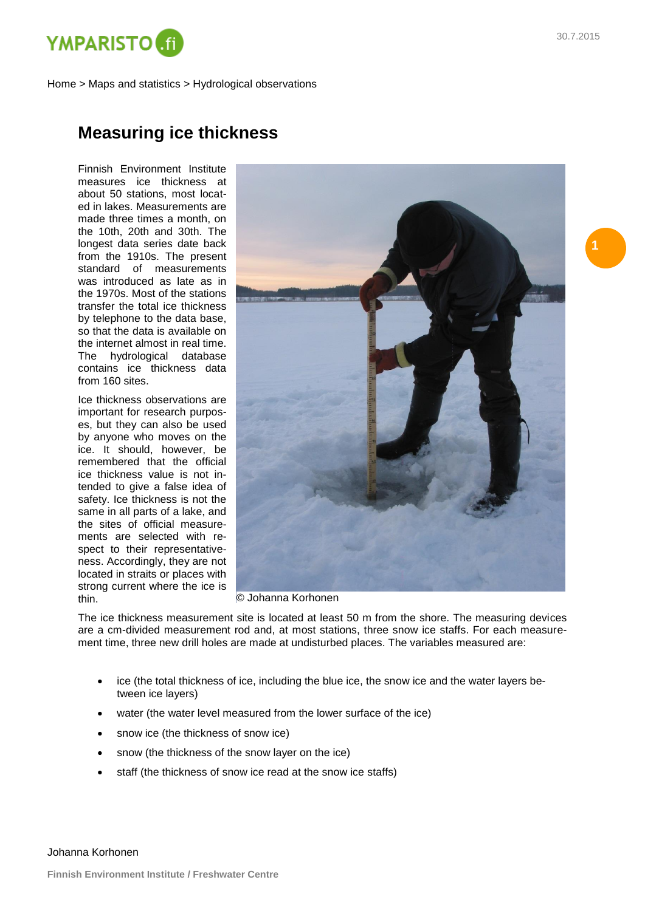

Home > Maps and statistics > Hydrological observations

## **Measuring ice thickness**

Finnish Environment Institute measures ice thickness at about 50 stations, most located in lakes. Measurements are made three times a month, on the 10th, 20th and 30th. The longest data series date back from the 1910s. The present standard of measurements was introduced as late as in the 1970s. Most of the stations transfer the total ice thickness by telephone to the data base, so that the data is available on the internet almost in real time. The hydrological database contains ice thickness data from 160 sites.

Ice thickness observations are important for research purposes, but they can also be used by anyone who moves on the ice. It should, however, be remembered that the official ice thickness value is not intended to give a false idea of safety. Ice thickness is not the same in all parts of a lake, and the sites of official measurements are selected with respect to their representativeness. Accordingly, they are not located in straits or places with strong current where the ice is thin.



© Johanna Korhonen

The ice thickness measurement site is located at least 50 m from the shore. The measuring devices are a cm-divided measurement rod and, at most stations, three snow ice staffs. For each measurement time, three new drill holes are made at undisturbed places. The variables measured are:

- ice (the total thickness of ice, including the blue ice, the snow ice and the water layers between ice layers)
- water (the water level measured from the lower surface of the ice)
- snow ice (the thickness of snow ice)
- snow (the thickness of the snow layer on the ice)
- staff (the thickness of snow ice read at the snow ice staffs)

Johanna Korhonen